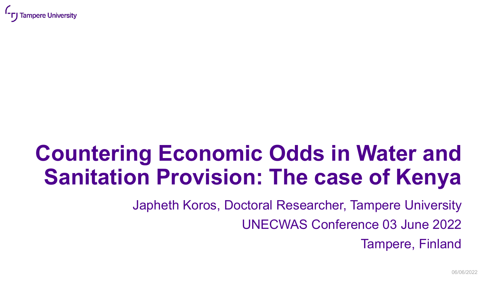

## **Countering Economic Odds in Water and Sanitation Provision: The case of Kenya**

Japheth Koros, Doctoral Researcher, Tampere University

UNECWAS Conference 03 June 2022

Tampere, Finland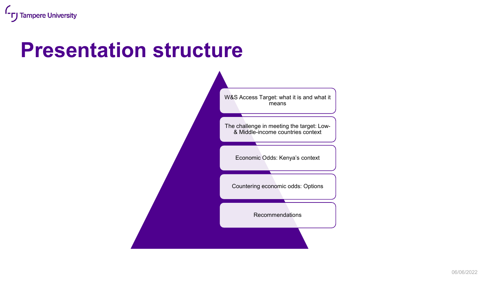#### **Presentation structure**

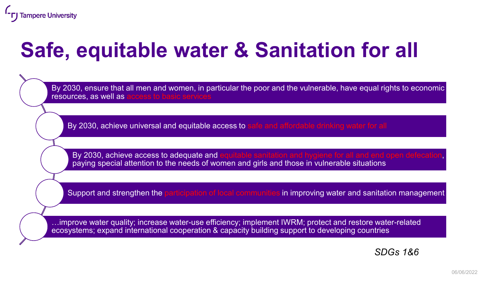#### **Safe, equitable water & Sanitation for all**

By 2030, ensure that all men and women, in particular the poor and the vulnerable, have equal rights to economic resources, as well as

By 2030, achieve universal and equitable access to safe and affordable drinking water for all

By 2030, achieve access to adequate and paying special attention to the needs of women and girls and those in vulnerable situations

Support and strengthen the participation of local communities in improving water and sanitation management

…improve water quality; increase water-use efficiency; implement IWRM; protect and restore water-related ecosystems; expand international cooperation & capacity building support to developing countries

*SDGs 1&6*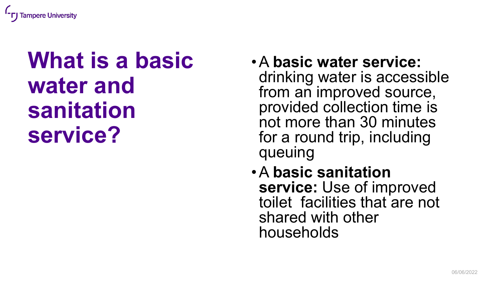

## **What is a basic water and sanitation service?**

- •A **basic water service:**  drinking water is accessible from an improved source, provided collection time is not more than 30 minutes for a round trip, including queuing
- •A **basic sanitation service:** Use of improved toilet facilities that are not shared with other households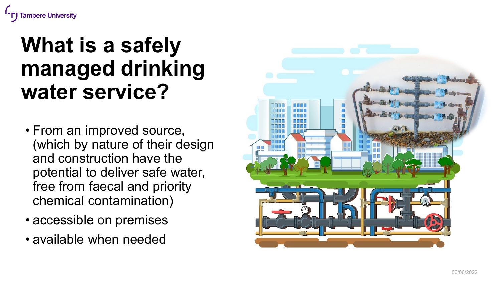

#### **What is a safely managed drinking water service?**

- From an improved source, (which by nature of their design and construction have the potential to deliver safe water, free from faecal and priority chemical contamination)
- accessible on premises
- available when needed

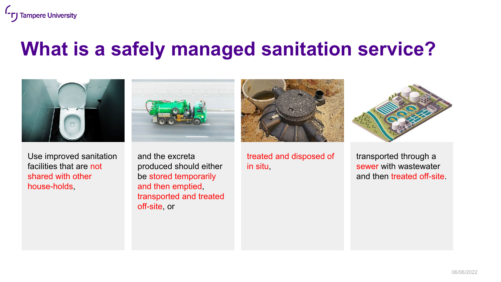#### **What is a safely managed sanitation service?**



Use improved sanitation facilities that are not shared with other house-holds,





and the excreta produced should either be stored temporarily and then emptied, transported and treated off-site, or

treated and disposed of in situ,

transported through a sewer with wastewater and then treated off-site.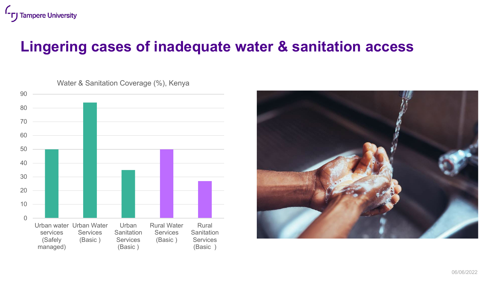#### **Lingering cases of inadequate water & sanitation access**

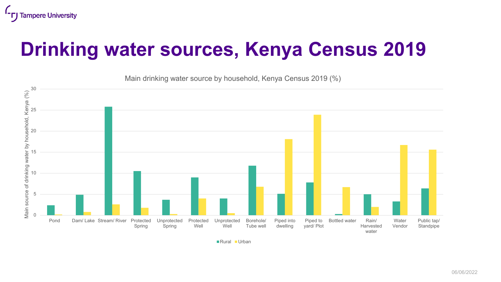#### **Drinking water sources, Kenya Census 2019**

Main drinking water source by household, Kenya Census 2019 (%)



■Rural ■Urban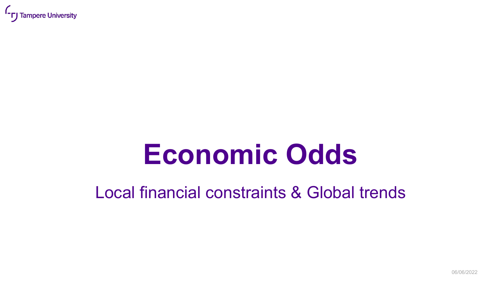

# **Economic Odds**

Local financial constraints & Global trends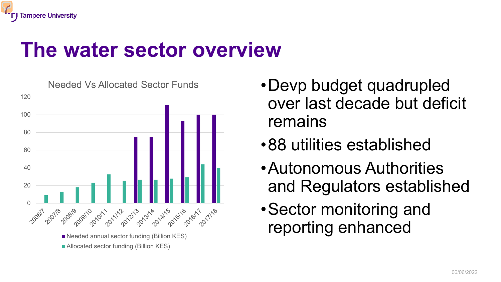#### **The water sector overview**



- •Devp budget quadrupled over last decade but deficit remains
- •88 utilities established
- •Autonomous Authorities and Regulators established
- •Sector monitoring and reporting enhanced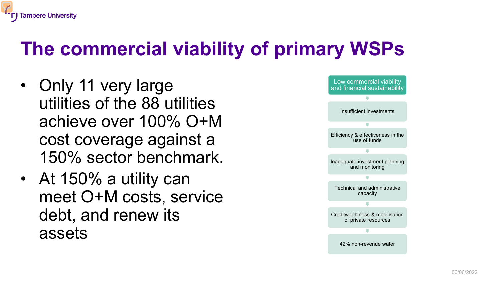#### **The commercial viability of primary WSPs**

- Only 11 very large utilities of the 88 utilities achieve over 100% O+M cost coverage against a 150% sector benchmark.
- At 150% a utility can meet O+M costs, service debt, and renew its assets

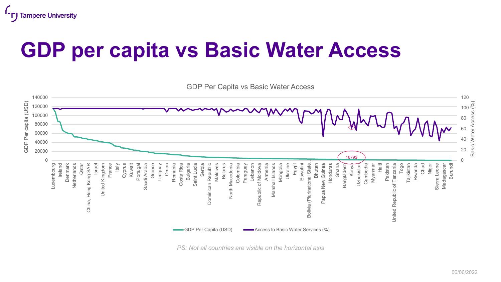

#### **GDP per capita vs Basic Water Access**



*PS: Not all countries are visible on the horizontal axis*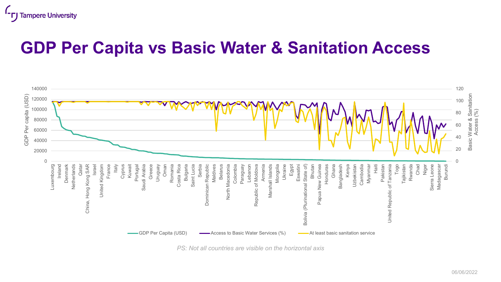

#### **GDP Per Capita vs Basic Water & Sanitation Access**



*PS: Not all countries are visible on the horizontal axis*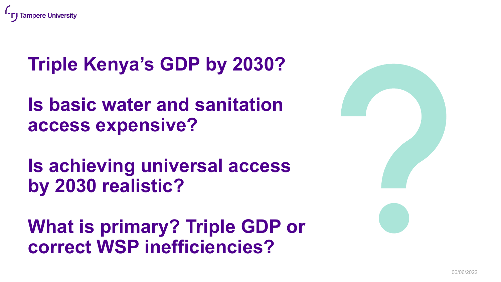

#### **Triple Kenya's GDP by 2030?**

**Is basic water and sanitation access expensive?**

**Is achieving universal access by 2030 realistic?**

**What is primary? Triple GDP or correct WSP inefficiencies?**

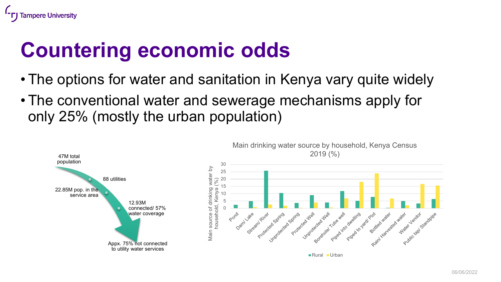

#### **Countering economic odds**

- The options for water and sanitation in Kenya vary quite widely
- The conventional water and sewerage mechanisms apply for only 25% (mostly the urban population)

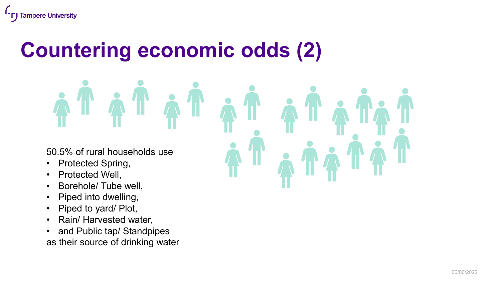## **Countering economic odds (2)**

## TATATAT 50.5% of rural households use • Protected Spring, • Protected Well,

- Borehole/ Tube well,
- Piped into dwelling,
- Piped to yard/ Plot,
- Rain/ Harvested water,
- and Public tap/ Standpipes as their source of drinking water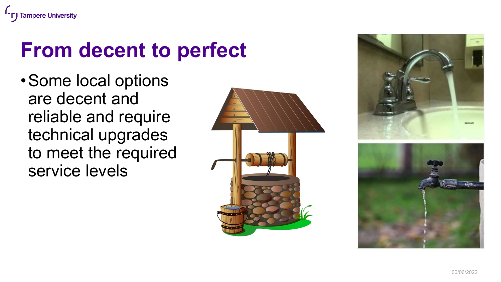

#### **From decent to perfect**

•Some local options are decent and reliable and require technical upgrades to meet the required service levels



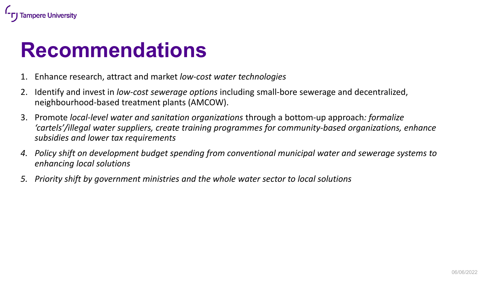

#### **Recommendations**

- 1. Enhance research, attract and market *low-cost water technologies*
- 2. Identify and invest in *low-cost sewerage options* including small-bore sewerage and decentralized, neighbourhood-based treatment plants (AMCOW).
- 3. Promote *local-level water and sanitation organizations* through a bottom-up approach*: formalize 'cartels'/illegal water suppliers, create training programmes for community-based organizations, enhance subsidies and lower tax requirements*
- *4. Policy shift on development budget spending from conventional municipal water and sewerage systems to enhancing local solutions*
- *5. Priority shift by government ministries and the whole water sector to local solutions*